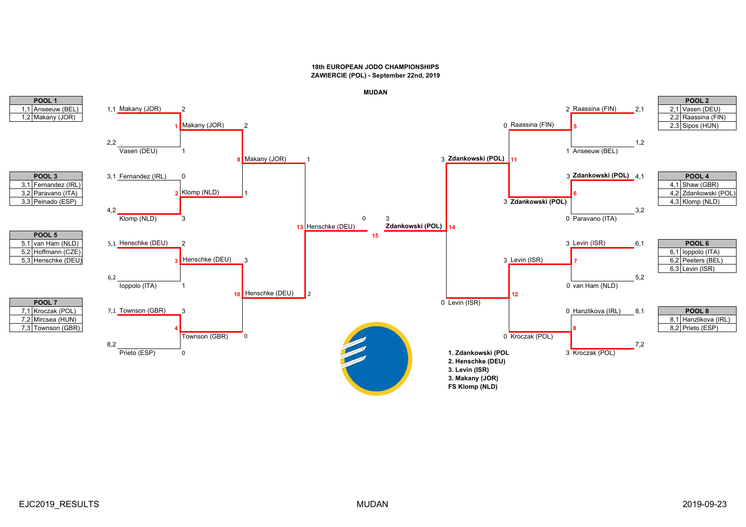

**MUDAN**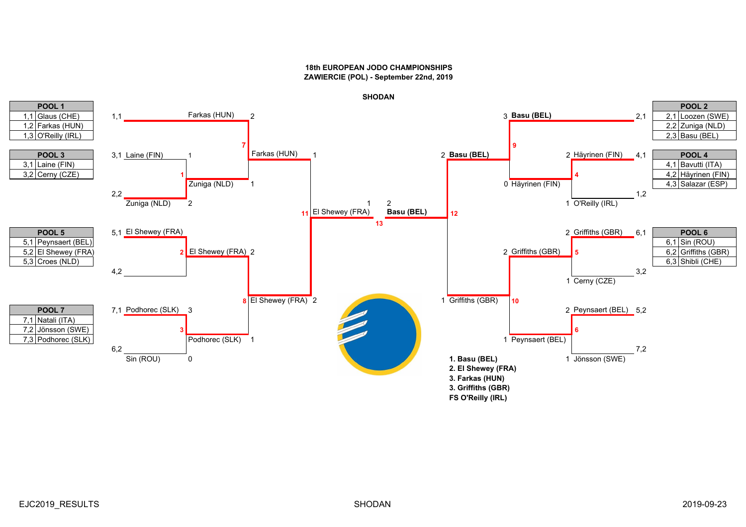

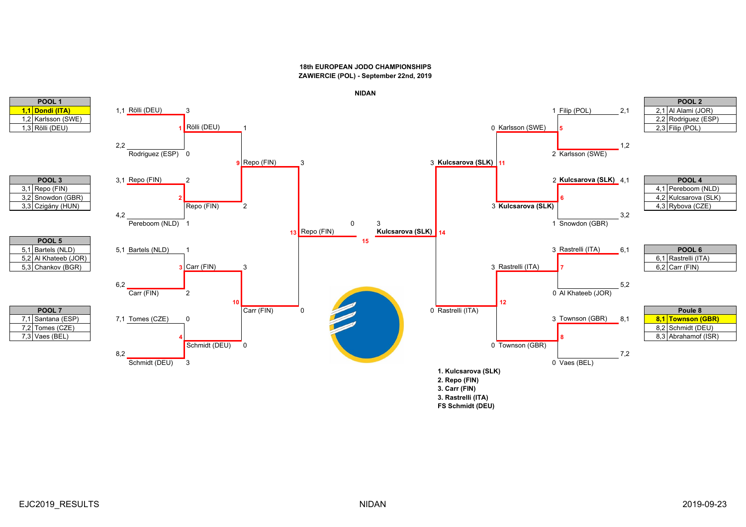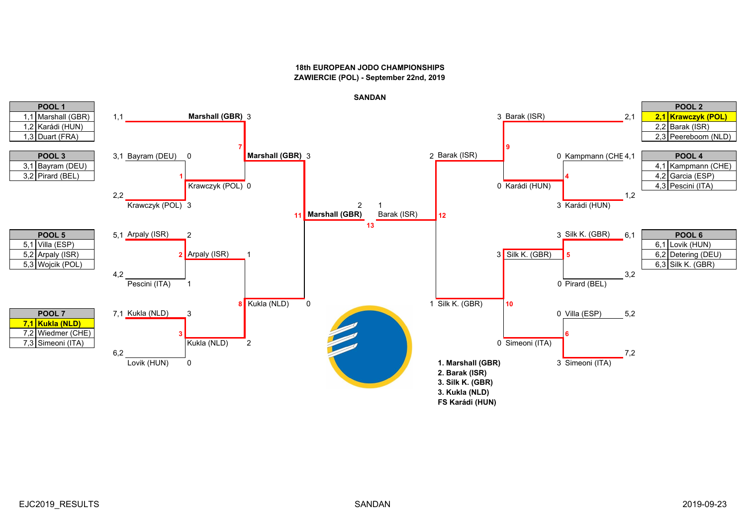

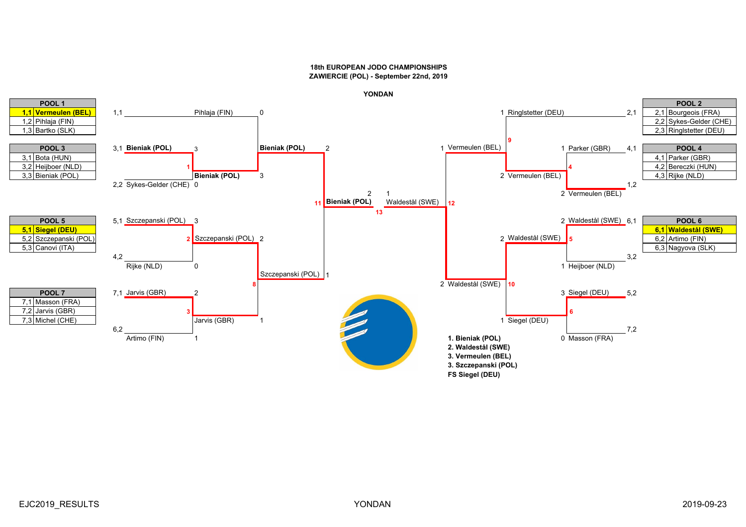

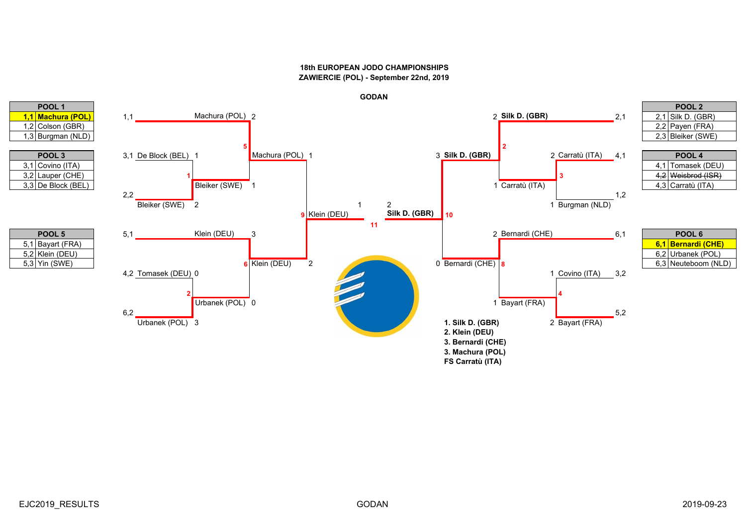